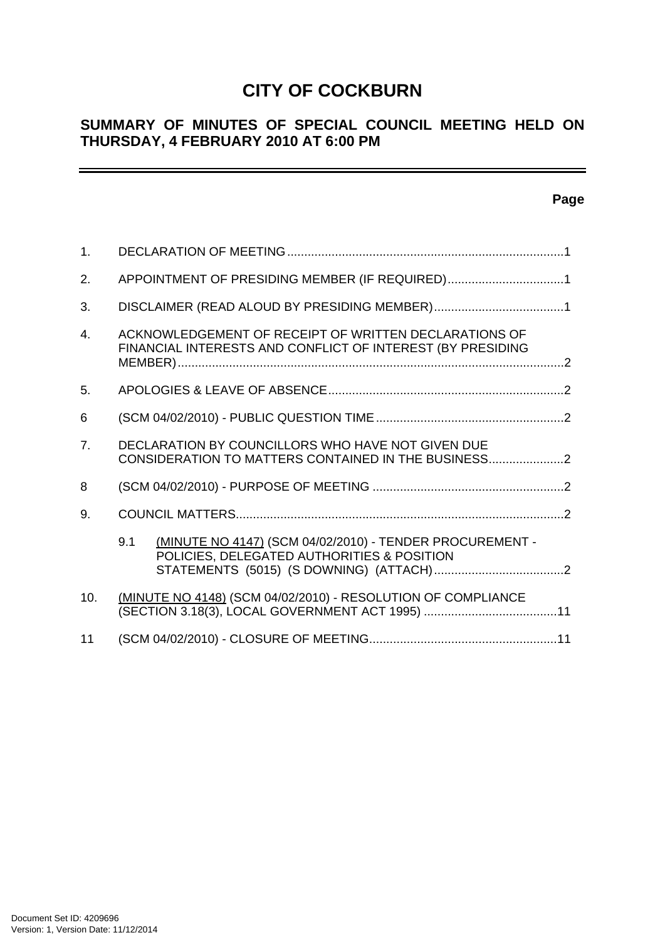# **CITY OF COCKBURN**

# **SUMMARY OF MINUTES OF SPECIAL COUNCIL MEETING HELD ON THURSDAY, 4 FEBRUARY 2010 AT 6:00 PM**

# **Page**

| $\mathbf{1}$ . |                                                                                                                     |                                                                                                          |  |  |  |
|----------------|---------------------------------------------------------------------------------------------------------------------|----------------------------------------------------------------------------------------------------------|--|--|--|
| 2.             |                                                                                                                     | APPOINTMENT OF PRESIDING MEMBER (IF REQUIRED)1                                                           |  |  |  |
| 3.             |                                                                                                                     |                                                                                                          |  |  |  |
| $\mathbf{4}$ . | ACKNOWLEDGEMENT OF RECEIPT OF WRITTEN DECLARATIONS OF<br>FINANCIAL INTERESTS AND CONFLICT OF INTEREST (BY PRESIDING |                                                                                                          |  |  |  |
| 5 <sub>1</sub> |                                                                                                                     |                                                                                                          |  |  |  |
| 6              |                                                                                                                     |                                                                                                          |  |  |  |
| 7 <sup>1</sup> |                                                                                                                     | DECLARATION BY COUNCILLORS WHO HAVE NOT GIVEN DUE<br>CONSIDERATION TO MATTERS CONTAINED IN THE BUSINESS2 |  |  |  |
| 8              |                                                                                                                     |                                                                                                          |  |  |  |
| 9.             |                                                                                                                     |                                                                                                          |  |  |  |
|                | 9.1                                                                                                                 | (MINUTE NO 4147) (SCM 04/02/2010) - TENDER PROCUREMENT -<br>POLICIES, DELEGATED AUTHORITIES & POSITION   |  |  |  |
| 10.            |                                                                                                                     | (MINUTE NO 4148) (SCM 04/02/2010) - RESOLUTION OF COMPLIANCE                                             |  |  |  |
| 11             |                                                                                                                     |                                                                                                          |  |  |  |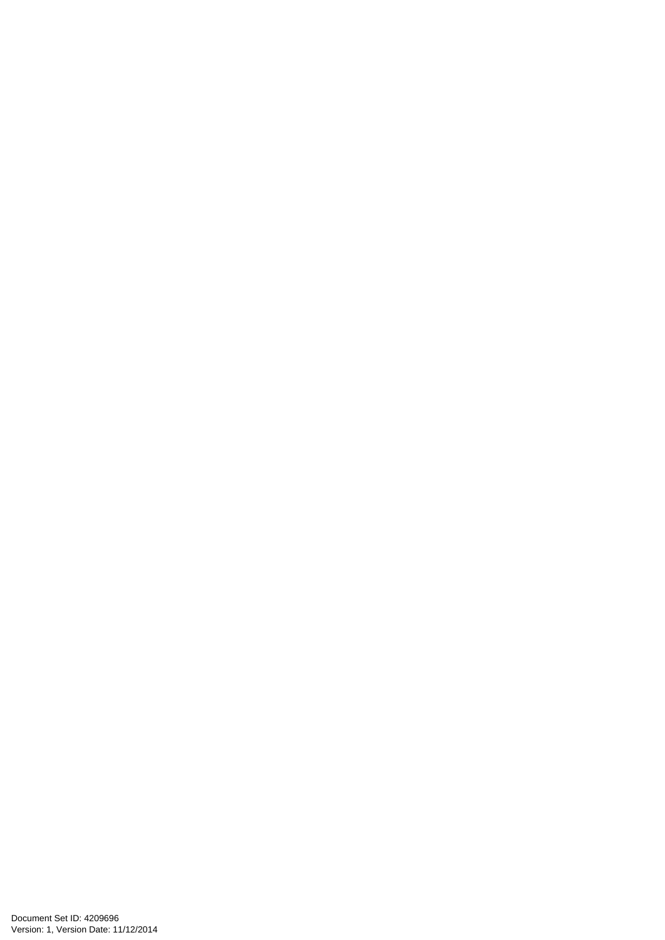Document Set ID: 4209696<br>Version: 1, Version Date: 11/12/2014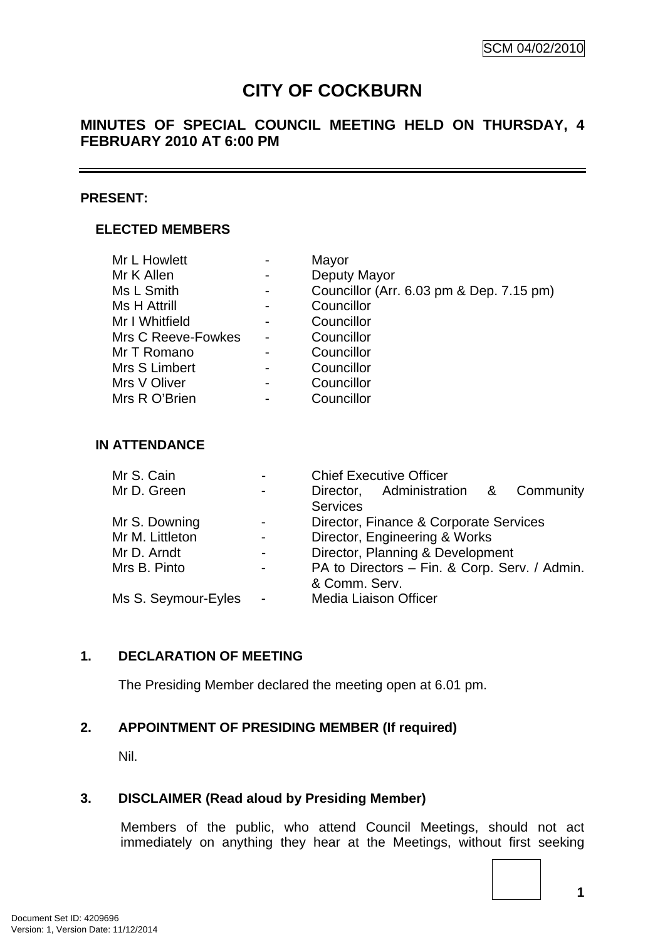# **CITY OF COCKBURN**

# <span id="page-2-0"></span>**MINUTES OF SPECIAL COUNCIL MEETING HELD ON THURSDAY, 4 FEBRUARY 2010 AT 6:00 PM**

### **PRESENT:**

# **ELECTED MEMBERS**

| Mr L Howlett        | Mayor                                    |
|---------------------|------------------------------------------|
| Mr K Allen          | Deputy Mayor                             |
| Ms L Smith          | Councillor (Arr. 6.03 pm & Dep. 7.15 pm) |
| <b>Ms H Attrill</b> | Councillor                               |
| Mr I Whitfield      | Councillor                               |
| Mrs C Reeve-Fowkes  | Councillor                               |
| Mr T Romano         | Councillor                               |
| Mrs S Limbert       | Councillor                               |
| Mrs V Oliver        | Councillor                               |
| Mrs R O'Brien       | Councillor                               |

### **IN ATTENDANCE**

|                | <b>Chief Executive Officer</b>                |
|----------------|-----------------------------------------------|
|                | Director, Administration & Community          |
|                | <b>Services</b>                               |
|                | Director, Finance & Corporate Services        |
|                | Director, Engineering & Works                 |
|                | Director, Planning & Development              |
|                | PA to Directors - Fin. & Corp. Serv. / Admin. |
|                | & Comm. Serv.                                 |
| $\blacksquare$ | <b>Media Liaison Officer</b>                  |
|                |                                               |

# **1. DECLARATION OF MEETING**

The Presiding Member declared the meeting open at 6.01 pm.

# **2. APPOINTMENT OF PRESIDING MEMBER (If required)**

Nil.

### **3. DISCLAIMER (Read aloud by Presiding Member)**

Members of the public, who attend Council Meetings, should not act immediately on anything they hear at the Meetings, without first seeking

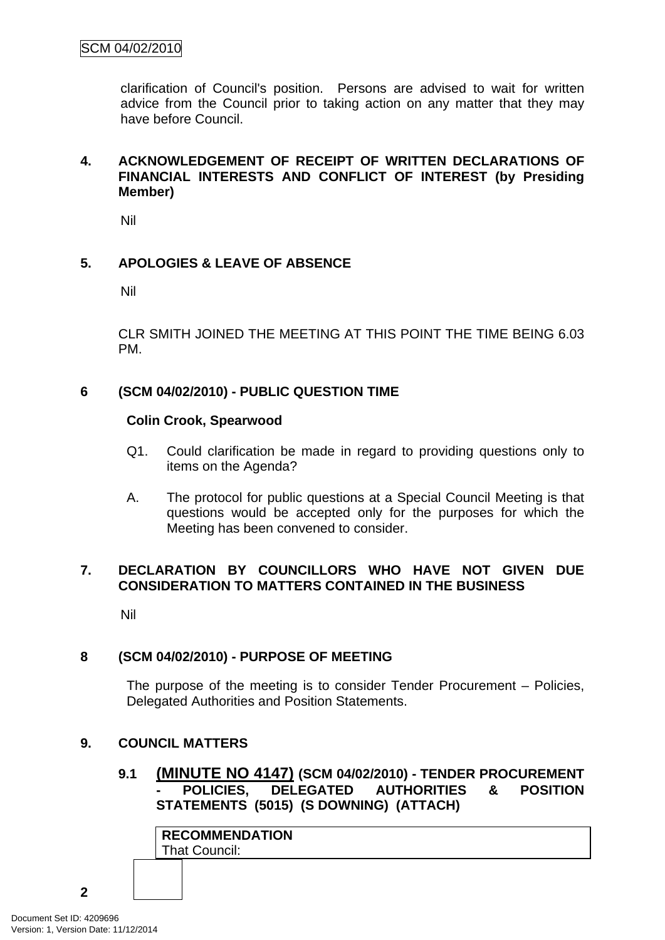<span id="page-3-0"></span>clarification of Council's position. Persons are advised to wait for written advice from the Council prior to taking action on any matter that they may have before Council.

# **4. ACKNOWLEDGEMENT OF RECEIPT OF WRITTEN DECLARATIONS OF FINANCIAL INTERESTS AND CONFLICT OF INTEREST (by Presiding Member)**

Nil

# **5. APOLOGIES & LEAVE OF ABSENCE**

Nil

CLR SMITH JOINED THE MEETING AT THIS POINT THE TIME BEING 6.03 PM.

# **6 (SCM 04/02/2010) - PUBLIC QUESTION TIME**

# **Colin Crook, Spearwood**

- Q1. Could clarification be made in regard to providing questions only to items on the Agenda?
- A. The protocol for public questions at a Special Council Meeting is that questions would be accepted only for the purposes for which the Meeting has been convened to consider.

### **7. DECLARATION BY COUNCILLORS WHO HAVE NOT GIVEN DUE CONSIDERATION TO MATTERS CONTAINED IN THE BUSINESS**

Nil

# **8 (SCM 04/02/2010) - PURPOSE OF MEETING**

The purpose of the meeting is to consider Tender Procurement – Policies, Delegated Authorities and Position Statements.

# **9. COUNCIL MATTERS**

# **9.1 (MINUTE NO 4147) (SCM 04/02/2010) - TENDER PROCUREMENT - POLICIES, DELEGATED AUTHORITIES & POSITION STATEMENTS (5015) (S DOWNING) (ATTACH)**

|  | <b>RECOMMENDATION</b><br>That Council: |
|--|----------------------------------------|
|  |                                        |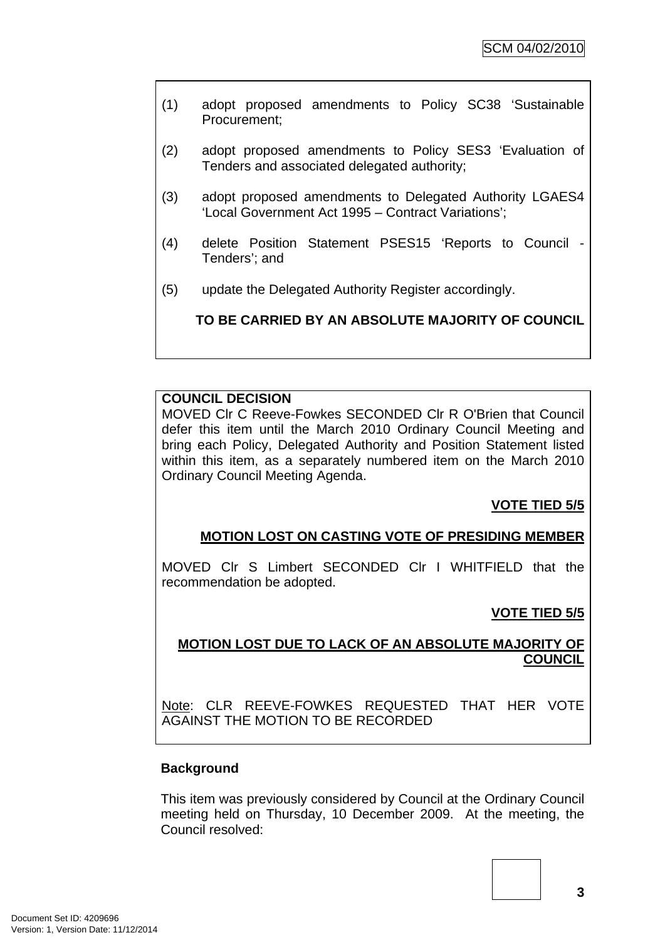- (1) adopt proposed amendments to Policy SC38 'Sustainable Procurement;
- (2) adopt proposed amendments to Policy SES3 'Evaluation of Tenders and associated delegated authority;
- (3) adopt proposed amendments to Delegated Authority LGAES4 'Local Government Act 1995 – Contract Variations';
- (4) delete Position Statement PSES15 'Reports to Council Tenders'; and
- (5) update the Delegated Authority Register accordingly.

**TO BE CARRIED BY AN ABSOLUTE MAJORITY OF COUNCIL**

### **COUNCIL DECISION**

MOVED Clr C Reeve-Fowkes SECONDED Clr R O'Brien that Council defer this item until the March 2010 Ordinary Council Meeting and bring each Policy, Delegated Authority and Position Statement listed within this item, as a separately numbered item on the March 2010 Ordinary Council Meeting Agenda.

**VOTE TIED 5/5**

# **MOTION LOST ON CASTING VOTE OF PRESIDING MEMBER**

MOVED Clr S Limbert SECONDED Clr I WHITFIELD that the recommendation be adopted.

**VOTE TIED 5/5**

# **MOTION LOST DUE TO LACK OF AN ABSOLUTE MAJORITY OF COUNCIL**

Note: CLR REEVE-FOWKES REQUESTED THAT HER VOTE AGAINST THE MOTION TO BE RECORDED

# **Background**

This item was previously considered by Council at the Ordinary Council meeting held on Thursday, 10 December 2009. At the meeting, the Council resolved:

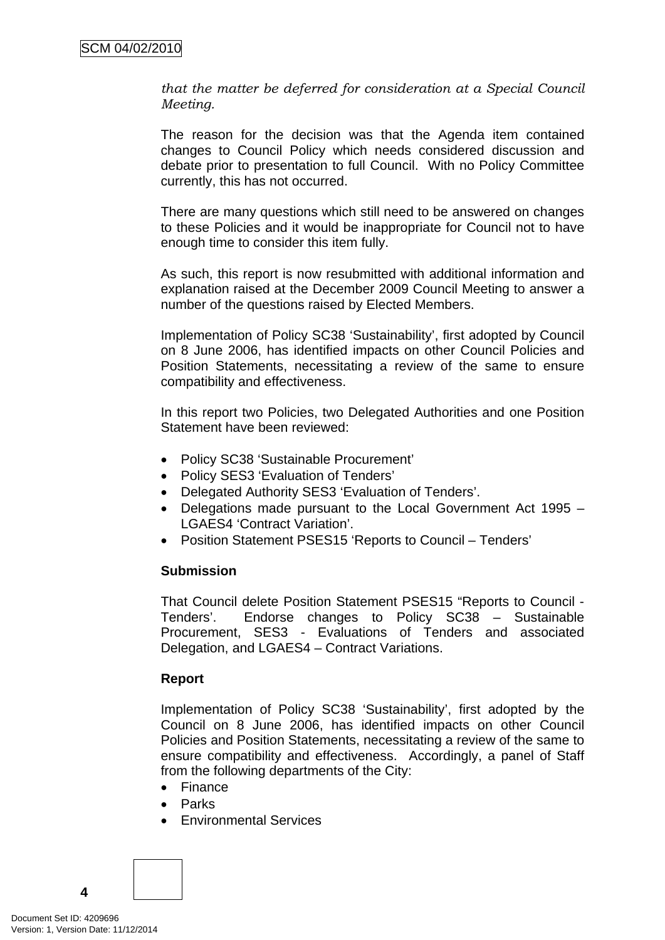*that the matter be deferred for consideration at a Special Council Meeting.* 

The reason for the decision was that the Agenda item contained changes to Council Policy which needs considered discussion and debate prior to presentation to full Council. With no Policy Committee currently, this has not occurred.

There are many questions which still need to be answered on changes to these Policies and it would be inappropriate for Council not to have enough time to consider this item fully.

As such, this report is now resubmitted with additional information and explanation raised at the December 2009 Council Meeting to answer a number of the questions raised by Elected Members.

Implementation of Policy SC38 'Sustainability', first adopted by Council on 8 June 2006, has identified impacts on other Council Policies and Position Statements, necessitating a review of the same to ensure compatibility and effectiveness.

In this report two Policies, two Delegated Authorities and one Position Statement have been reviewed:

- Policy SC38 'Sustainable Procurement'
- Policy SES3 'Evaluation of Tenders'
- Delegated Authority SES3 'Evaluation of Tenders'.
- Delegations made pursuant to the Local Government Act 1995 LGAES4 'Contract Variation'.
- Position Statement PSES15 'Reports to Council Tenders'

### **Submission**

That Council delete Position Statement PSES15 "Reports to Council - Tenders'. Endorse changes to Policy SC38 – Sustainable Procurement, SES3 - Evaluations of Tenders and associated Delegation, and LGAES4 – Contract Variations.

# **Report**

Implementation of Policy SC38 'Sustainability', first adopted by the Council on 8 June 2006, has identified impacts on other Council Policies and Position Statements, necessitating a review of the same to ensure compatibility and effectiveness. Accordingly, a panel of Staff from the following departments of the City:

- Finance
- Parks
- Environmental Services

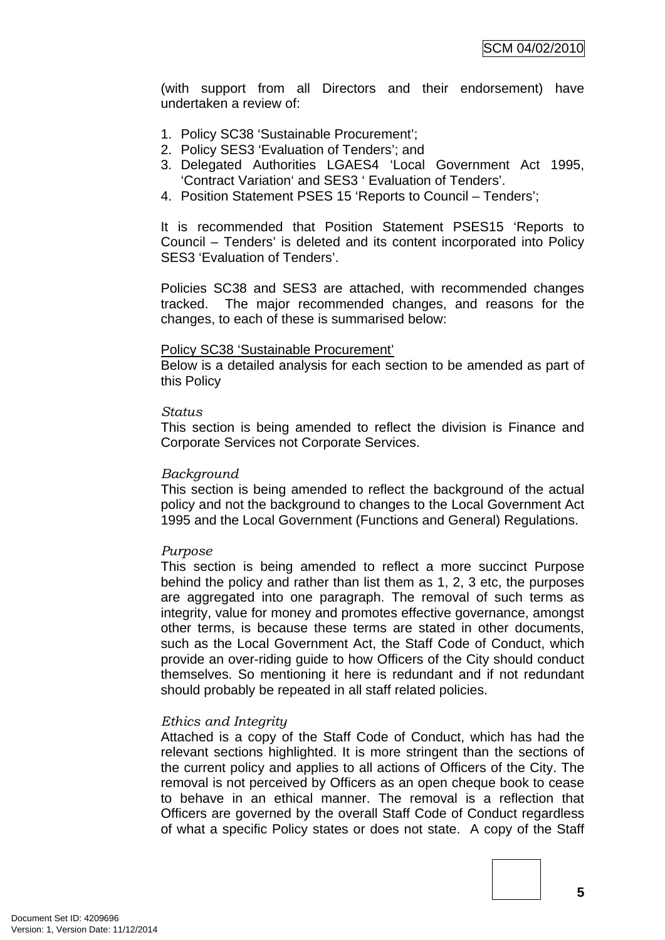(with support from all Directors and their endorsement) have undertaken a review of:

- 1. Policy SC38 'Sustainable Procurement';
- 2. Policy SES3 'Evaluation of Tenders'; and
- 3. Delegated Authorities LGAES4 'Local Government Act 1995, 'Contract Variation' and SES3 ' Evaluation of Tenders'.
- 4. Position Statement PSES 15 'Reports to Council Tenders';

It is recommended that Position Statement PSES15 'Reports to Council – Tenders' is deleted and its content incorporated into Policy SES3 'Evaluation of Tenders'.

Policies SC38 and SES3 are attached, with recommended changes tracked. The major recommended changes, and reasons for the changes, to each of these is summarised below:

#### Policy SC38 'Sustainable Procurement'

Below is a detailed analysis for each section to be amended as part of this Policy

#### *Status*

This section is being amended to reflect the division is Finance and Corporate Services not Corporate Services.

#### *Background*

This section is being amended to reflect the background of the actual policy and not the background to changes to the Local Government Act 1995 and the Local Government (Functions and General) Regulations.

### *Purpose*

This section is being amended to reflect a more succinct Purpose behind the policy and rather than list them as 1, 2, 3 etc, the purposes are aggregated into one paragraph. The removal of such terms as integrity, value for money and promotes effective governance, amongst other terms, is because these terms are stated in other documents, such as the Local Government Act, the Staff Code of Conduct, which provide an over-riding guide to how Officers of the City should conduct themselves. So mentioning it here is redundant and if not redundant should probably be repeated in all staff related policies.

### *Ethics and Integrity*

Attached is a copy of the Staff Code of Conduct, which has had the relevant sections highlighted. It is more stringent than the sections of the current policy and applies to all actions of Officers of the City. The removal is not perceived by Officers as an open cheque book to cease to behave in an ethical manner. The removal is a reflection that Officers are governed by the overall Staff Code of Conduct regardless of what a specific Policy states or does not state. A copy of the Staff

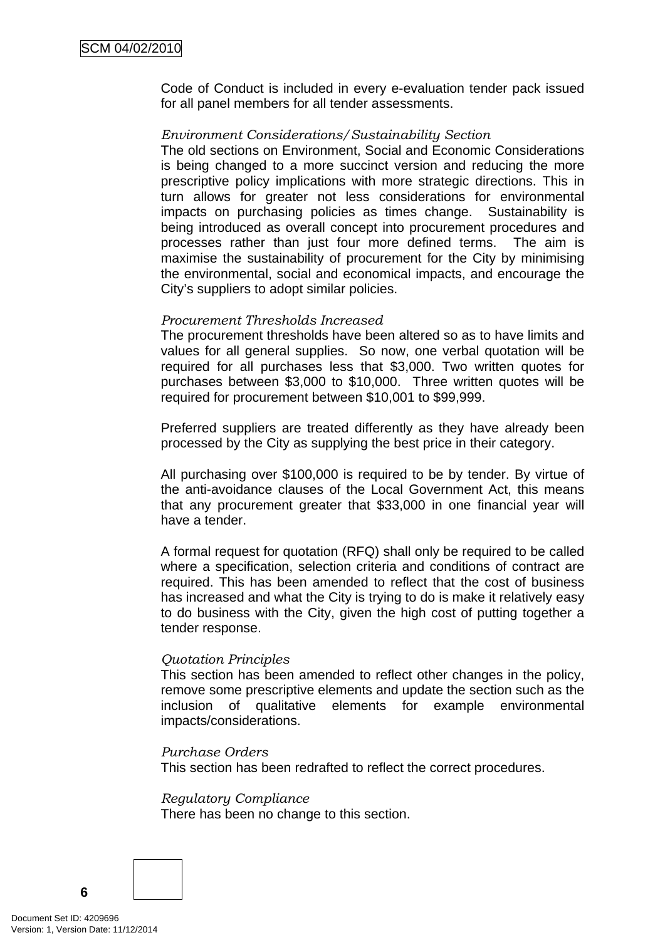Code of Conduct is included in every e-evaluation tender pack issued for all panel members for all tender assessments.

#### *Environment Considerations/Sustainability Section*

The old sections on Environment, Social and Economic Considerations is being changed to a more succinct version and reducing the more prescriptive policy implications with more strategic directions. This in turn allows for greater not less considerations for environmental impacts on purchasing policies as times change. Sustainability is being introduced as overall concept into procurement procedures and processes rather than just four more defined terms. The aim is maximise the sustainability of procurement for the City by minimising the environmental, social and economical impacts, and encourage the City's suppliers to adopt similar policies.

#### *Procurement Thresholds Increased*

The procurement thresholds have been altered so as to have limits and values for all general supplies. So now, one verbal quotation will be required for all purchases less that \$3,000. Two written quotes for purchases between \$3,000 to \$10,000. Three written quotes will be required for procurement between \$10,001 to \$99,999.

Preferred suppliers are treated differently as they have already been processed by the City as supplying the best price in their category.

All purchasing over \$100,000 is required to be by tender. By virtue of the anti-avoidance clauses of the Local Government Act, this means that any procurement greater that \$33,000 in one financial year will have a tender.

A formal request for quotation (RFQ) shall only be required to be called where a specification, selection criteria and conditions of contract are required. This has been amended to reflect that the cost of business has increased and what the City is trying to do is make it relatively easy to do business with the City, given the high cost of putting together a tender response.

#### *Quotation Principles*

This section has been amended to reflect other changes in the policy, remove some prescriptive elements and update the section such as the inclusion of qualitative elements for example environmental impacts/considerations.

#### *Purchase Orders*

This section has been redrafted to reflect the correct procedures.

#### *Regulatory Compliance*

There has been no change to this section.

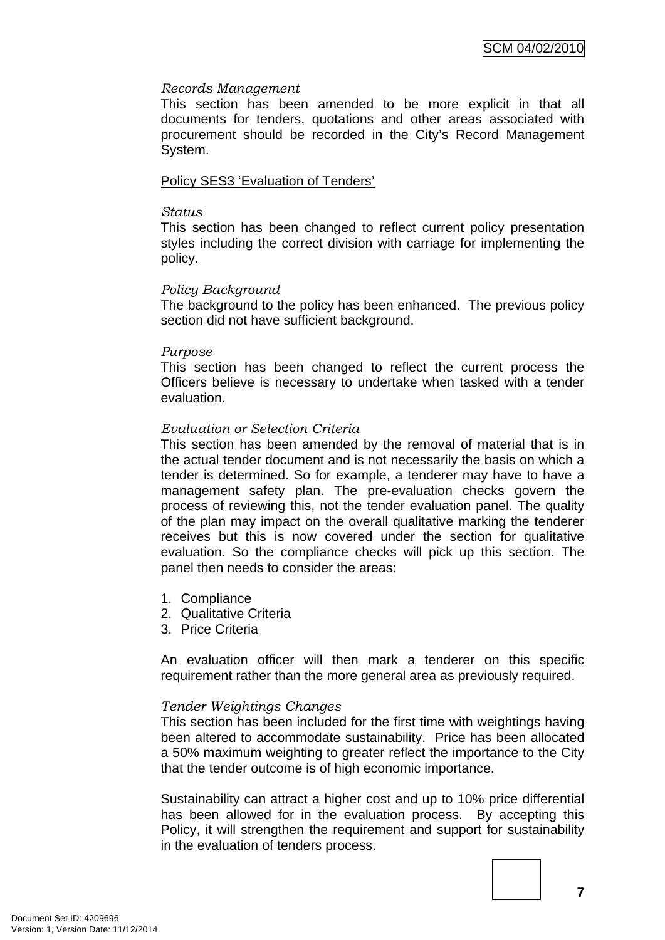### *Records Management*

This section has been amended to be more explicit in that all documents for tenders, quotations and other areas associated with procurement should be recorded in the City's Record Management System.

### Policy SES3 'Evaluation of Tenders'

#### *Status*

This section has been changed to reflect current policy presentation styles including the correct division with carriage for implementing the policy.

### *Policy Background*

The background to the policy has been enhanced. The previous policy section did not have sufficient background.

#### *Purpose*

This section has been changed to reflect the current process the Officers believe is necessary to undertake when tasked with a tender evaluation.

#### *Evaluation or Selection Criteria*

This section has been amended by the removal of material that is in the actual tender document and is not necessarily the basis on which a tender is determined. So for example, a tenderer may have to have a management safety plan. The pre-evaluation checks govern the process of reviewing this, not the tender evaluation panel. The quality of the plan may impact on the overall qualitative marking the tenderer receives but this is now covered under the section for qualitative evaluation. So the compliance checks will pick up this section. The panel then needs to consider the areas:

- 1. Compliance
- 2. Qualitative Criteria
- 3. Price Criteria

An evaluation officer will then mark a tenderer on this specific requirement rather than the more general area as previously required.

### *Tender Weightings Changes*

This section has been included for the first time with weightings having been altered to accommodate sustainability. Price has been allocated a 50% maximum weighting to greater reflect the importance to the City that the tender outcome is of high economic importance.

Sustainability can attract a higher cost and up to 10% price differential has been allowed for in the evaluation process. By accepting this Policy, it will strengthen the requirement and support for sustainability in the evaluation of tenders process.

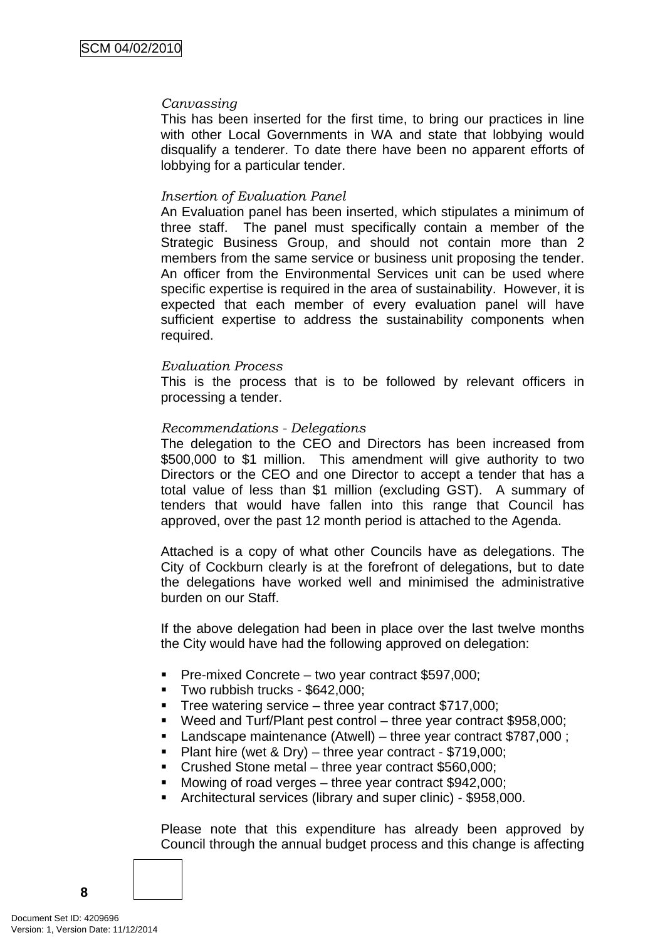#### *Canvassing*

This has been inserted for the first time, to bring our practices in line with other Local Governments in WA and state that lobbying would disqualify a tenderer. To date there have been no apparent efforts of lobbying for a particular tender.

### *Insertion of Evaluation Panel*

An Evaluation panel has been inserted, which stipulates a minimum of three staff. The panel must specifically contain a member of the Strategic Business Group, and should not contain more than 2 members from the same service or business unit proposing the tender. An officer from the Environmental Services unit can be used where specific expertise is required in the area of sustainability. However, it is expected that each member of every evaluation panel will have sufficient expertise to address the sustainability components when required.

#### *Evaluation Process*

This is the process that is to be followed by relevant officers in processing a tender.

#### *Recommendations - Delegations*

The delegation to the CEO and Directors has been increased from \$500,000 to \$1 million. This amendment will give authority to two Directors or the CEO and one Director to accept a tender that has a total value of less than \$1 million (excluding GST). A summary of tenders that would have fallen into this range that Council has approved, over the past 12 month period is attached to the Agenda.

Attached is a copy of what other Councils have as delegations. The City of Cockburn clearly is at the forefront of delegations, but to date the delegations have worked well and minimised the administrative burden on our Staff.

If the above delegation had been in place over the last twelve months the City would have had the following approved on delegation:

- Pre-mixed Concrete two year contract \$597,000;
- Two rubbish trucks \$642,000;
- Tree watering service three year contract  $$717,000$ ;
- Weed and Turf/Plant pest control three year contract \$958,000;
- Landscape maintenance (Atwell) three year contract \$787,000 ;
- Plant hire (wet  $& Dry$ ) three year contract  $$719,000;$
- Crushed Stone metal three year contract \$560,000;
- Mowing of road verges three year contract \$942,000;
- Architectural services (library and super clinic) \$958,000.

Please note that this expenditure has already been approved by Council through the annual budget process and this change is affecting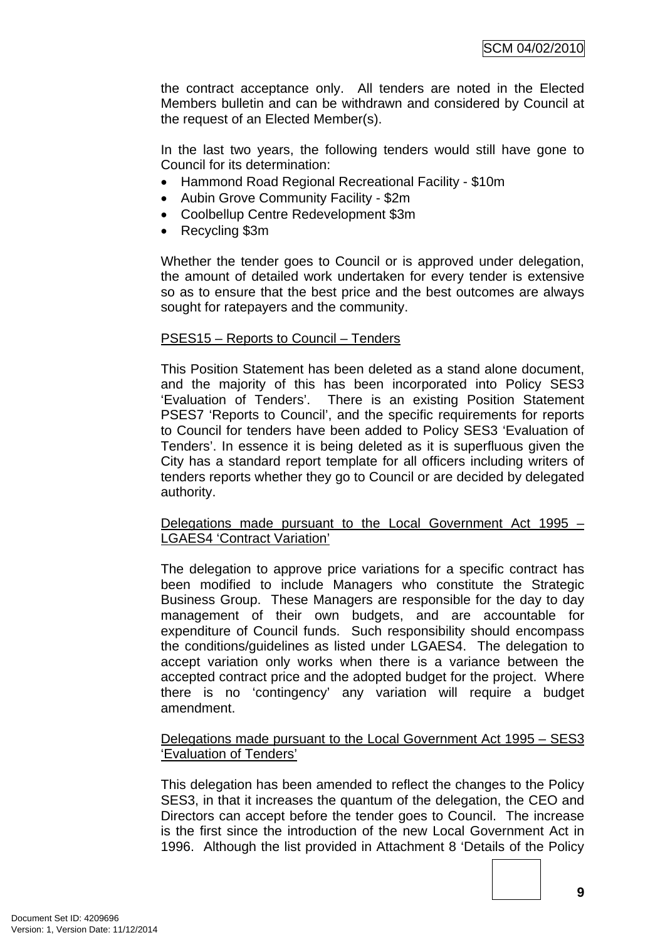the contract acceptance only. All tenders are noted in the Elected Members bulletin and can be withdrawn and considered by Council at the request of an Elected Member(s).

In the last two years, the following tenders would still have gone to Council for its determination:

- Hammond Road Regional Recreational Facility \$10m
- Aubin Grove Community Facility \$2m
- Coolbellup Centre Redevelopment \$3m
- Recycling \$3m

Whether the tender goes to Council or is approved under delegation, the amount of detailed work undertaken for every tender is extensive so as to ensure that the best price and the best outcomes are always sought for ratepayers and the community.

### PSES15 – Reports to Council – Tenders

This Position Statement has been deleted as a stand alone document, and the majority of this has been incorporated into Policy SES3 'Evaluation of Tenders'. There is an existing Position Statement PSES7 'Reports to Council', and the specific requirements for reports to Council for tenders have been added to Policy SES3 'Evaluation of Tenders'. In essence it is being deleted as it is superfluous given the City has a standard report template for all officers including writers of tenders reports whether they go to Council or are decided by delegated authority.

### Delegations made pursuant to the Local Government Act 1995 – LGAES4 'Contract Variation'

The delegation to approve price variations for a specific contract has been modified to include Managers who constitute the Strategic Business Group. These Managers are responsible for the day to day management of their own budgets, and are accountable for expenditure of Council funds. Such responsibility should encompass the conditions/guidelines as listed under LGAES4. The delegation to accept variation only works when there is a variance between the accepted contract price and the adopted budget for the project. Where there is no 'contingency' any variation will require a budget amendment.

### Delegations made pursuant to the Local Government Act 1995 – SES3 'Evaluation of Tenders'

This delegation has been amended to reflect the changes to the Policy SES3, in that it increases the quantum of the delegation, the CEO and Directors can accept before the tender goes to Council. The increase is the first since the introduction of the new Local Government Act in 1996. Although the list provided in Attachment 8 'Details of the Policy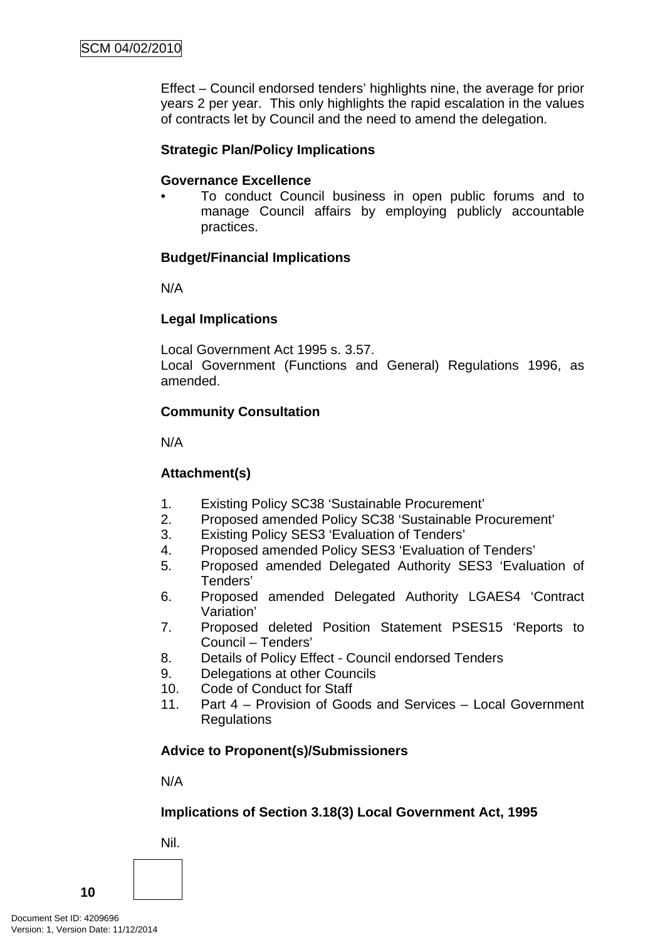Effect – Council endorsed tenders' highlights nine, the average for prior years 2 per year. This only highlights the rapid escalation in the values of contracts let by Council and the need to amend the delegation.

### **Strategic Plan/Policy Implications**

#### **Governance Excellence**

• To conduct Council business in open public forums and to manage Council affairs by employing publicly accountable practices.

### **Budget/Financial Implications**

N/A

### **Legal Implications**

Local Government Act 1995 s. 3.57. Local Government (Functions and General) Regulations 1996, as amended.

### **Community Consultation**

N/A

# **Attachment(s)**

- 1. Existing Policy SC38 'Sustainable Procurement'
- 2. Proposed amended Policy SC38 'Sustainable Procurement'
- 3. Existing Policy SES3 'Evaluation of Tenders'
- 4. Proposed amended Policy SES3 'Evaluation of Tenders'
- 5. Proposed amended Delegated Authority SES3 'Evaluation of Tenders'
- 6. Proposed amended Delegated Authority LGAES4 'Contract Variation'
- 7. Proposed deleted Position Statement PSES15 'Reports to Council – Tenders'
- 8. Details of Policy Effect Council endorsed Tenders
- 9. Delegations at other Councils
- 10. Code of Conduct for Staff
- 11. Part 4 Provision of Goods and Services Local Government **Regulations**

# **Advice to Proponent(s)/Submissioners**

N/A

# **Implications of Section 3.18(3) Local Government Act, 1995**

Nil.